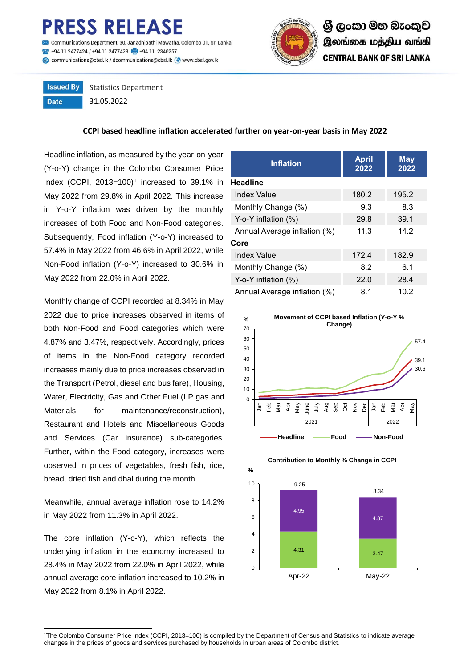# **RESS RELEASE**

mmunications Department, 30, Janadhipathi Mawatha, Colombo 01, Sri Lanka 494 11 2477424 / +94 11 2477423 +494 11 2346257 Communications@cbsl.lk / dcommunications@cbsl.lk <a>
www.cbsl.gov.lk</a>
k



#### **Issued By** Statistics Department **Date** 31.05.2022

**CCPI based headline inflation accelerated further on year-on-year basis in May 2022**

Headline inflation, as measured by the year-on-year (Y-o-Y) change in the Colombo Consumer Price Index (CCPI,  $2013=100$ <sup>1</sup> increased to 39.1% in May 2022 from 29.8% in April 2022. This increase in Y-o-Y inflation was driven by the monthly increases of both Food and Non-Food categories. Subsequently, Food inflation (Y-o-Y) increased to 57.4% in May 2022 from 46.6% in April 2022, while Non-Food inflation (Y-o-Y) increased to 30.6% in May 2022 from 22.0% in April 2022.

Monthly change of CCPI recorded at 8.34% in May 2022 due to price increases observed in items of both Non-Food and Food categories which were 4.87% and 3.47%, respectively. Accordingly, prices of items in the Non-Food category recorded increases mainly due to price increases observed in the Transport (Petrol, diesel and bus fare), Housing, Water, Electricity, Gas and Other Fuel (LP gas and Materials for maintenance/reconstruction), Restaurant and Hotels and Miscellaneous Goods and Services (Car insurance) sub-categories. Further, within the Food category, increases were observed in prices of vegetables, fresh fish, rice, bread, dried fish and dhal during the month.

Meanwhile, annual average inflation rose to 14.2% in May 2022 from 11.3% in April 2022.

The core inflation (Y-o-Y), which reflects the underlying inflation in the economy increased to 28.4% in May 2022 from 22.0% in April 2022, while annual average core inflation increased to 10.2% in May 2022 from 8.1% in April 2022.

 $\overline{a}$ 

| <b>Inflation</b>             | <b>April</b><br>2022 | <b>May</b><br>2022 |  |  |  |  |
|------------------------------|----------------------|--------------------|--|--|--|--|
| <b>Headline</b>              |                      |                    |  |  |  |  |
| Index Value                  | 180.2                | 195.2              |  |  |  |  |
| Monthly Change (%)           | 9.3                  | 8.3                |  |  |  |  |
| Y-o-Y inflation $(\%)$       | 29.8                 | 39.1               |  |  |  |  |
| Annual Average inflation (%) | 11.3                 | 14.2               |  |  |  |  |
| Core                         |                      |                    |  |  |  |  |
| <b>Index Value</b>           | 172.4                | 182.9              |  |  |  |  |
| Monthly Change (%)           | 8.2                  | 6.1                |  |  |  |  |
| Y-o-Y inflation $(\%)$       | 22.0                 | 28.4               |  |  |  |  |
| Annual Average inflation (%) | 8.1                  | 10.2               |  |  |  |  |





#### **Contribution to Monthly % Change in CCPI**

<sup>1</sup>The Colombo Consumer Price Index (CCPI, 2013=100) is compiled by the Department of Census and Statistics to indicate average changes in the prices of goods and services purchased by households in urban areas of Colombo district.